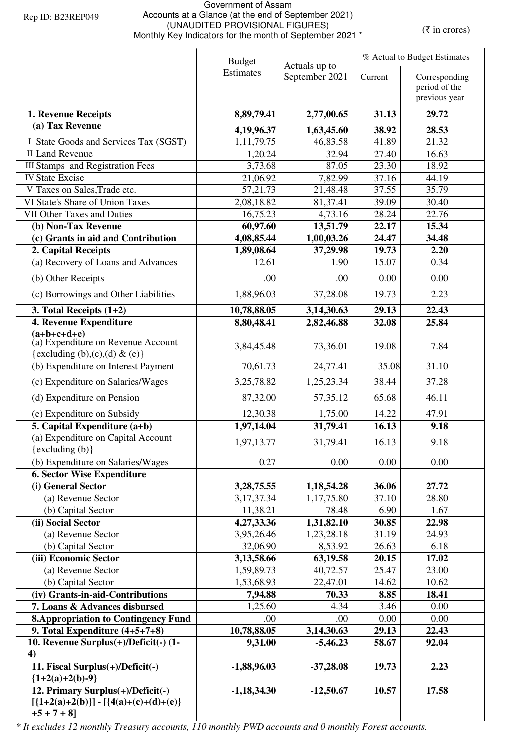## Government of Assam Accounts at a Glance (at the end of September 2021) (UNAUDITED PROVISIONAL FIGURES) (WHAUDITED PROVISIONAL FIGURES)<br>Monthly Key Indicators for the month of September 2021 \* (₹ in crores)

|                                                                                                 | <b>Budget</b><br>Actuals up to |                  |                | % Actual to Budget Estimates   |  |
|-------------------------------------------------------------------------------------------------|--------------------------------|------------------|----------------|--------------------------------|--|
|                                                                                                 | <b>Estimates</b>               | September 2021   | Current        | Corresponding<br>period of the |  |
|                                                                                                 |                                |                  |                | previous year                  |  |
| 1. Revenue Receipts                                                                             | 8,89,79.41                     | 2,77,00.65       | 31.13          | 29.72                          |  |
| (a) Tax Revenue                                                                                 | 4,19,96.37                     | 1,63,45.60       | 38.92          | 28.53                          |  |
| I State Goods and Services Tax (SGST)                                                           | 1,11,79.75                     | 46,83.58         | 41.89          | 21.32                          |  |
| <b>II Land Revenue</b>                                                                          | 1,20.24                        | 32.94            | 27.40          | 16.63                          |  |
| <b>III Stamps</b> and Registration Fees                                                         | 3,73.68                        | 87.05            | 23.30          | 18.92                          |  |
| <b>IV State Excise</b>                                                                          | 21,06.92                       | 7,82.99          | 37.16          | 44.19                          |  |
| V Taxes on Sales, Trade etc.                                                                    | 57, 21. 73                     | 21,48.48         | 37.55          | 35.79                          |  |
| VI State's Share of Union Taxes                                                                 | 2,08,18.82                     | 81,37.41         | 39.09          | 30.40                          |  |
| <b>VII Other Taxes and Duties</b>                                                               | 16,75.23                       | 4,73.16          | 28.24          | 22.76                          |  |
| (b) Non-Tax Revenue                                                                             | 60,97.60                       | 13,51.79         | 22.17          | 15.34                          |  |
| (c) Grants in aid and Contribution                                                              | 4,08,85.44                     | 1,00,03.26       | 24.47          | 34.48                          |  |
| 2. Capital Receipts<br>(a) Recovery of Loans and Advances                                       | 1,89,08.64<br>12.61            | 37,29.98<br>1.90 | 19.73<br>15.07 | 2.20<br>0.34                   |  |
|                                                                                                 |                                |                  |                |                                |  |
| (b) Other Receipts                                                                              | .00                            | .00.             | 0.00           | 0.00                           |  |
| (c) Borrowings and Other Liabilities                                                            | 1,88,96.03                     | 37,28.08         | 19.73          | 2.23                           |  |
| 3. Total Receipts $(1+2)$                                                                       | 10,78,88.05                    | 3,14,30.63       | 29.13          | 22.43                          |  |
| 4. Revenue Expenditure                                                                          | 8,80,48.41                     | 2,82,46.88       | 32.08          | 25.84                          |  |
| $(a+b+c+d+e)$<br>(a) Expenditure on Revenue Account                                             | 3,84,45.48                     | 73,36.01         | 19.08          | 7.84                           |  |
| {excluding $(b),(c),(d)$ & $(e)$ }                                                              |                                |                  |                |                                |  |
| (b) Expenditure on Interest Payment                                                             | 70,61.73                       | 24,77.41         | 35.08          | 31.10                          |  |
| (c) Expenditure on Salaries/Wages                                                               | 3,25,78.82                     | 1,25,23.34       | 38.44          | 37.28                          |  |
| (d) Expenditure on Pension                                                                      | 87,32.00                       | 57, 35. 12       | 65.68          | 46.11                          |  |
| (e) Expenditure on Subsidy                                                                      | 12,30.38                       | 1,75.00          | 14.22          | 47.91                          |  |
| 5. Capital Expenditure (a+b)                                                                    | 1,97,14.04                     | 31,79.41         | 16.13          | 9.18                           |  |
| (a) Expenditure on Capital Account<br>{excluding (b)}                                           | 1,97,13.77                     | 31,79.41         | 16.13          | 9.18                           |  |
| (b) Expenditure on Salaries/Wages                                                               | 0.27                           | 0.00             | 0.00           | 0.00                           |  |
| <b>6. Sector Wise Expenditure</b>                                                               |                                |                  |                |                                |  |
| (i) General Sector                                                                              | 3,28,75.55                     | 1,18,54.28       | 36.06          | 27.72                          |  |
| (a) Revenue Sector                                                                              | 3, 17, 37. 34                  | 1,17,75.80       | 37.10          | 28.80                          |  |
| (b) Capital Sector                                                                              | 11,38.21                       | 78.48            | 6.90           | 1.67                           |  |
| (ii) Social Sector                                                                              | 4,27,33.36                     | 1,31,82.10       | 30.85          | 22.98                          |  |
| (a) Revenue Sector                                                                              | 3,95,26.46                     | 1,23,28.18       | 31.19          | 24.93                          |  |
| (b) Capital Sector                                                                              | 32,06.90                       | 8,53.92          | 26.63          | 6.18                           |  |
| (iii) Economic Sector                                                                           | 3,13,58.66                     | 63,19.58         | 20.15          | 17.02                          |  |
| (a) Revenue Sector                                                                              | 1,59,89.73                     | 40,72.57         | 25.47          | 23.00                          |  |
| (b) Capital Sector                                                                              | 1,53,68.93                     | 22,47.01         | 14.62          | 10.62                          |  |
| (iv) Grants-in-aid-Contributions                                                                | 7,94.88                        | 70.33            | 8.85           | 18.41                          |  |
| 7. Loans & Advances disbursed                                                                   | 1,25.60                        | 4.34             | 3.46           | 0.00                           |  |
| <b>8. Appropriation to Contingency Fund</b>                                                     | .00                            | .00              | 0.00           | 0.00                           |  |
| 9. Total Expenditure (4+5+7+8)                                                                  | 10,78,88.05                    | 3,14,30.63       | 29.13          | 22.43                          |  |
| 10. Revenue Surplus(+)/Deficit(-) (1-                                                           | 9,31.00                        | $-5,46.23$       | 58.67          | 92.04                          |  |
| 4)<br>11. Fiscal Surplus(+)/Deficit(-)<br>${1+2(a)+2(b)-9}$                                     | $-1,88,96.03$                  | $-37,28.08$      | 19.73          | 2.23                           |  |
| 12. Primary Surplus(+)/Deficit(-)<br>$[{1+2(a)+2(b)}] - [{4(a)+(c)+(d)+(e)}]$<br>$+5 + 7 + 8$ ] | $-1,18,34.30$                  | $-12,50.67$      | 10.57          | 17.58                          |  |

*\* It excludes 12 monthly Treasury accounts, 110 monthly PWD accounts and 0 monthly Forest accounts.*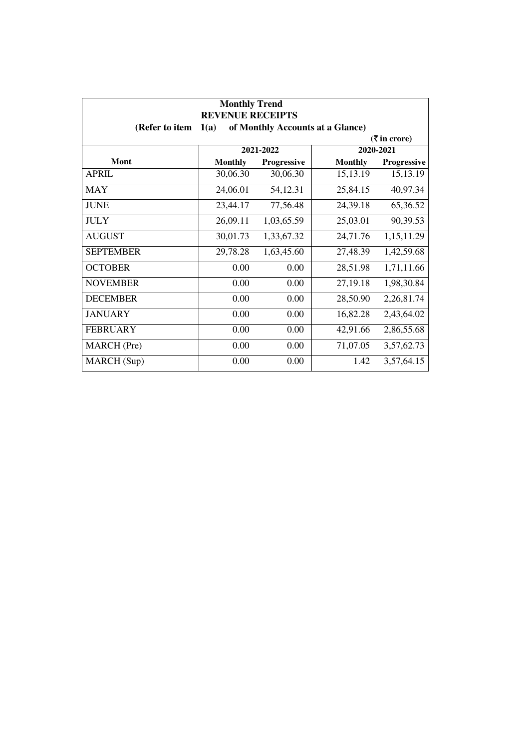| <b>Monthly Trend</b><br><b>REVENUE RECEIPTS</b>                                           |                |             |                |             |  |
|-------------------------------------------------------------------------------------------|----------------|-------------|----------------|-------------|--|
| (Refer to item<br>1(a)<br>of Monthly Accounts at a Glance)<br>$(3\overline{5})$ in crore) |                |             |                |             |  |
|                                                                                           |                | 2021-2022   |                | 2020-2021   |  |
| Mont                                                                                      | <b>Monthly</b> | Progressive | <b>Monthly</b> | Progressive |  |
| <b>APRIL</b>                                                                              | 30,06.30       | 30,06.30    | 15, 13. 19     | 15,13.19    |  |
| <b>MAY</b>                                                                                | 24,06.01       | 54,12.31    | 25,84.15       | 40,97.34    |  |
| <b>JUNE</b>                                                                               | 23,44.17       | 77,56.48    | 24,39.18       | 65,36.52    |  |
| <b>JULY</b>                                                                               | 26,09.11       | 1,03,65.59  | 25,03.01       | 90,39.53    |  |
| <b>AUGUST</b>                                                                             | 30,01.73       | 1,33,67.32  | 24,71.76       | 1,15,11.29  |  |
| <b>SEPTEMBER</b>                                                                          | 29,78.28       | 1,63,45.60  | 27,48.39       | 1,42,59.68  |  |
| <b>OCTOBER</b>                                                                            | 0.00           | 0.00        | 28,51.98       | 1,71,11.66  |  |
| <b>NOVEMBER</b>                                                                           | 0.00           | 0.00        | 27,19.18       | 1,98,30.84  |  |
| <b>DECEMBER</b>                                                                           | 0.00           | 0.00        | 28,50.90       | 2,26,81.74  |  |
| <b>JANUARY</b>                                                                            | 0.00           | 0.00        | 16,82.28       | 2,43,64.02  |  |
| <b>FEBRUARY</b>                                                                           | 0.00           | 0.00        | 42,91.66       | 2,86,55.68  |  |
| <b>MARCH</b> (Pre)                                                                        | 0.00           | 0.00        | 71,07.05       | 3,57,62.73  |  |
| MARCH (Sup)                                                                               | 0.00           | 0.00        | 1.42           | 3,57,64.15  |  |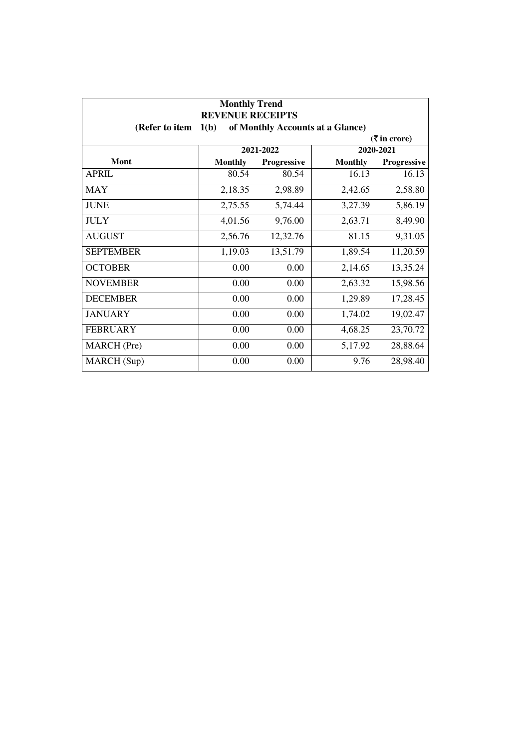| <b>Monthly Trend</b><br><b>REVENUE RECEIPTS</b><br>1(b)<br>(Refer to item<br>of Monthly Accounts at a Glance) |                |             |                |                             |
|---------------------------------------------------------------------------------------------------------------|----------------|-------------|----------------|-----------------------------|
|                                                                                                               |                |             |                | $(3\overline{5})$ in crore) |
|                                                                                                               |                | 2021-2022   |                | 2020-2021                   |
| Mont                                                                                                          | <b>Monthly</b> | Progressive | <b>Monthly</b> | Progressive                 |
| <b>APRIL</b>                                                                                                  | 80.54          | 80.54       | 16.13          | 16.13                       |
| <b>MAY</b>                                                                                                    | 2,18.35        | 2,98.89     | 2,42.65        | 2,58.80                     |
| <b>JUNE</b>                                                                                                   | 2,75.55        | 5,74.44     | 3,27.39        | 5,86.19                     |
| <b>JULY</b>                                                                                                   | 4,01.56        | 9,76.00     | 2,63.71        | 8,49.90                     |
| <b>AUGUST</b>                                                                                                 | 2,56.76        | 12,32.76    | 81.15          | 9,31.05                     |
| <b>SEPTEMBER</b>                                                                                              | 1,19.03        | 13,51.79    | 1,89.54        | 11,20.59                    |
| <b>OCTOBER</b>                                                                                                | 0.00           | 0.00        | 2,14.65        | 13,35.24                    |
| <b>NOVEMBER</b>                                                                                               | 0.00           | 0.00        | 2,63.32        | 15,98.56                    |
| <b>DECEMBER</b>                                                                                               | 0.00           | 0.00        | 1,29.89        | 17,28.45                    |
| <b>JANUARY</b>                                                                                                | 0.00           | 0.00        | 1,74.02        | 19,02.47                    |
| <b>FEBRUARY</b>                                                                                               | 0.00           | 0.00        | 4,68.25        | 23,70.72                    |
| <b>MARCH</b> (Pre)                                                                                            | 0.00           | 0.00        | 5,17.92        | 28,88.64                    |
| MARCH (Sup)                                                                                                   | 0.00           | 0.00        | 9.76           | 28,98.40                    |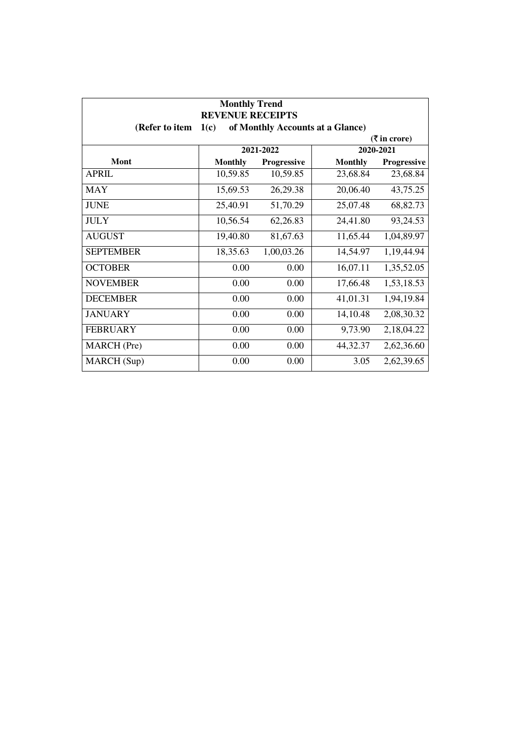| <b>Monthly Trend</b><br><b>REVENUE RECEIPTS</b>                                           |                |             |                |             |  |
|-------------------------------------------------------------------------------------------|----------------|-------------|----------------|-------------|--|
| (Refer to item<br>of Monthly Accounts at a Glance)<br>1(c)<br>$(3\overline{5})$ in crore) |                |             |                |             |  |
|                                                                                           |                | 2021-2022   |                | 2020-2021   |  |
| Mont                                                                                      | <b>Monthly</b> | Progressive | <b>Monthly</b> | Progressive |  |
| <b>APRIL</b>                                                                              | 10,59.85       | 10,59.85    | 23,68.84       | 23,68.84    |  |
| <b>MAY</b>                                                                                | 15,69.53       | 26,29.38    | 20,06.40       | 43,75.25    |  |
| <b>JUNE</b>                                                                               | 25,40.91       | 51,70.29    | 25,07.48       | 68,82.73    |  |
| <b>JULY</b>                                                                               | 10,56.54       | 62,26.83    | 24,41.80       | 93,24.53    |  |
| <b>AUGUST</b>                                                                             | 19,40.80       | 81,67.63    | 11,65.44       | 1,04,89.97  |  |
| <b>SEPTEMBER</b>                                                                          | 18,35.63       | 1,00,03.26  | 14,54.97       | 1,19,44.94  |  |
| <b>OCTOBER</b>                                                                            | 0.00           | 0.00        | 16,07.11       | 1,35,52.05  |  |
| <b>NOVEMBER</b>                                                                           | 0.00           | 0.00        | 17,66.48       | 1,53,18.53  |  |
| <b>DECEMBER</b>                                                                           | 0.00           | 0.00        | 41,01.31       | 1,94,19.84  |  |
| <b>JANUARY</b>                                                                            | 0.00           | 0.00        | 14,10.48       | 2,08,30.32  |  |
| <b>FEBRUARY</b>                                                                           | 0.00           | 0.00        | 9,73.90        | 2,18,04.22  |  |
| <b>MARCH</b> (Pre)                                                                        | 0.00           | 0.00        | 44,32.37       | 2,62,36.60  |  |
| MARCH (Sup)                                                                               | 0.00           | 0.00        | 3.05           | 2,62,39.65  |  |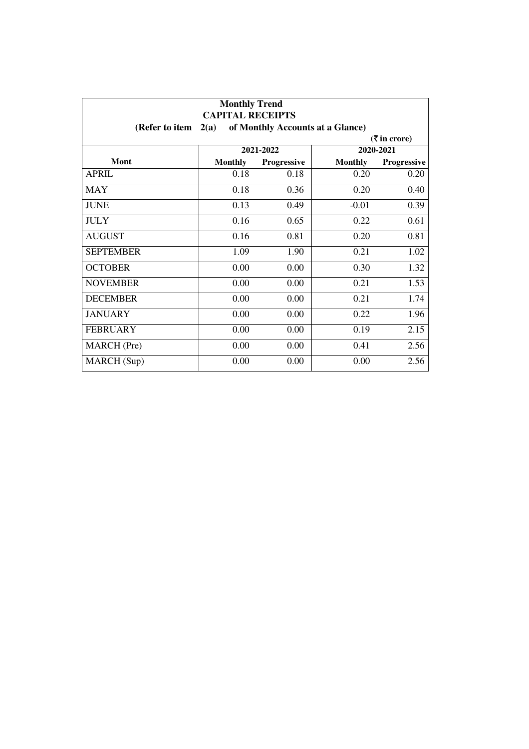| <b>Monthly Trend</b><br><b>CAPITAL RECEIPTS</b> |                |                                  |                |                             |
|-------------------------------------------------|----------------|----------------------------------|----------------|-----------------------------|
| (Refer to item                                  | 2(a)           | of Monthly Accounts at a Glance) |                |                             |
|                                                 |                |                                  |                | $(3\overline{5})$ in crore) |
|                                                 |                | 2021-2022                        |                | 2020-2021                   |
| Mont                                            | <b>Monthly</b> | Progressive                      | <b>Monthly</b> | Progressive                 |
| <b>APRIL</b>                                    | 0.18           | 0.18                             | 0.20           | 0.20                        |
| <b>MAY</b>                                      | 0.18           | 0.36                             | 0.20           | 0.40                        |
| <b>JUNE</b>                                     | 0.13           | 0.49                             | $-0.01$        | 0.39                        |
| <b>JULY</b>                                     | 0.16           | 0.65                             | 0.22           | 0.61                        |
| <b>AUGUST</b>                                   | 0.16           | 0.81                             | 0.20           | 0.81                        |
| <b>SEPTEMBER</b>                                | 1.09           | 1.90                             | 0.21           | 1.02                        |
| <b>OCTOBER</b>                                  | 0.00           | 0.00                             | 0.30           | 1.32                        |
| <b>NOVEMBER</b>                                 | 0.00           | 0.00                             | 0.21           | 1.53                        |
| <b>DECEMBER</b>                                 | 0.00           | 0.00                             | 0.21           | 1.74                        |
| <b>JANUARY</b>                                  | 0.00           | 0.00                             | 0.22           | 1.96                        |
| <b>FEBRUARY</b>                                 | 0.00           | 0.00                             | 0.19           | 2.15                        |
| <b>MARCH</b> (Pre)                              | 0.00           | 0.00                             | 0.41           | 2.56                        |
| MARCH (Sup)                                     | 0.00           | 0.00                             | 0.00           | 2.56                        |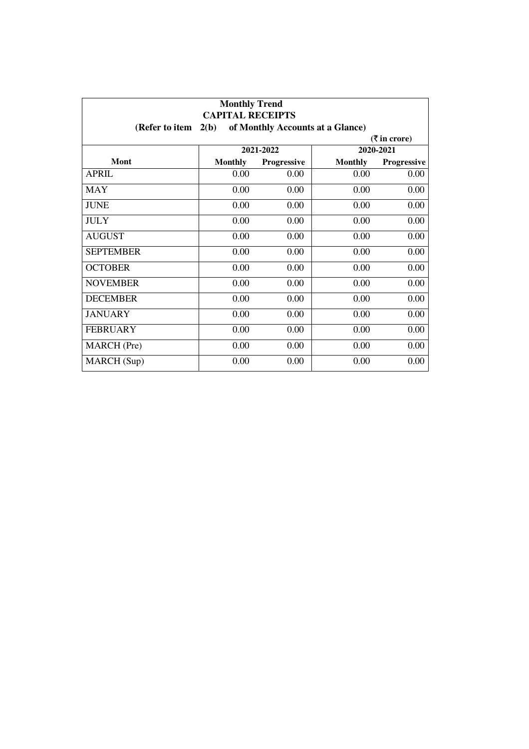| <b>Monthly Trend</b><br><b>CAPITAL RECEIPTS</b> |                |                                  |                |             |
|-------------------------------------------------|----------------|----------------------------------|----------------|-------------|
| (Refer to item                                  | 2(b)           | of Monthly Accounts at a Glance) |                |             |
| $(3\overline{5})$ in crore)                     |                |                                  |                |             |
|                                                 |                | 2021-2022                        |                | 2020-2021   |
| Mont                                            | <b>Monthly</b> | Progressive                      | <b>Monthly</b> | Progressive |
| <b>APRIL</b>                                    | 0.00           | 0.00                             | 0.00           | 0.00        |
| <b>MAY</b>                                      | 0.00           | 0.00                             | 0.00           | 0.00        |
| <b>JUNE</b>                                     | 0.00           | 0.00                             | 0.00           | 0.00        |
| <b>JULY</b>                                     | 0.00           | 0.00                             | 0.00           | 0.00        |
| <b>AUGUST</b>                                   | 0.00           | 0.00                             | 0.00           | 0.00        |
| <b>SEPTEMBER</b>                                | 0.00           | 0.00                             | 0.00           | 0.00        |
| <b>OCTOBER</b>                                  | 0.00           | 0.00                             | 0.00           | 0.00        |
| <b>NOVEMBER</b>                                 | 0.00           | 0.00                             | 0.00           | 0.00        |
| <b>DECEMBER</b>                                 | 0.00           | 0.00                             | 0.00           | 0.00        |
| <b>JANUARY</b>                                  | 0.00           | 0.00                             | 0.00           | 0.00        |
| <b>FEBRUARY</b>                                 | 0.00           | 0.00                             | 0.00           | 0.00        |
| <b>MARCH</b> (Pre)                              | 0.00           | 0.00                             | 0.00           | 0.00        |
| MARCH (Sup)                                     | 0.00           | 0.00                             | 0.00           | 0.00        |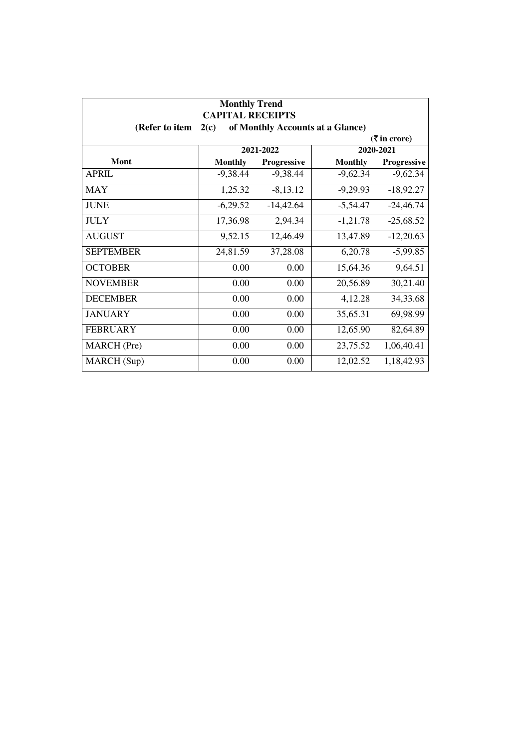| <b>Monthly Trend</b><br><b>CAPITAL RECEIPTS</b><br>of Monthly Accounts at a Glance)<br>(Refer to item<br>2(c) |                |             |                |                             |
|---------------------------------------------------------------------------------------------------------------|----------------|-------------|----------------|-----------------------------|
|                                                                                                               |                |             |                | $(3\overline{5})$ in crore) |
|                                                                                                               |                | 2021-2022   |                | 2020-2021                   |
| Mont                                                                                                          | <b>Monthly</b> | Progressive | <b>Monthly</b> | Progressive                 |
| <b>APRIL</b>                                                                                                  | $-9,38.44$     | $-9,38.44$  | $-9,62.34$     | $-9,62.34$                  |
| MAY                                                                                                           | 1,25.32        | $-8,13.12$  | $-9,29.93$     | $-18,92.27$                 |
| <b>JUNE</b>                                                                                                   | $-6,29.52$     | $-14,42.64$ | $-5,54.47$     | $-24,46.74$                 |
| <b>JULY</b>                                                                                                   | 17,36.98       | 2,94.34     | $-1,21.78$     | $-25,68.52$                 |
| <b>AUGUST</b>                                                                                                 | 9,52.15        | 12,46.49    | 13,47.89       | $-12,20.63$                 |
| <b>SEPTEMBER</b>                                                                                              | 24,81.59       | 37,28.08    | 6,20.78        | $-5,99.85$                  |
| <b>OCTOBER</b>                                                                                                | 0.00           | 0.00        | 15,64.36       | 9,64.51                     |
| <b>NOVEMBER</b>                                                                                               | 0.00           | 0.00        | 20,56.89       | 30,21.40                    |
| <b>DECEMBER</b>                                                                                               | 0.00           | 0.00        | 4,12.28        | 34, 33. 68                  |
| <b>JANUARY</b>                                                                                                | 0.00           | 0.00        | 35,65.31       | 69,98.99                    |
| <b>FEBRUARY</b>                                                                                               | 0.00           | 0.00        | 12,65.90       | 82,64.89                    |
| <b>MARCH</b> (Pre)                                                                                            | 0.00           | 0.00        | 23,75.52       | 1,06,40.41                  |
| MARCH (Sup)                                                                                                   | 0.00           | 0.00        | 12,02.52       | 1,18,42.93                  |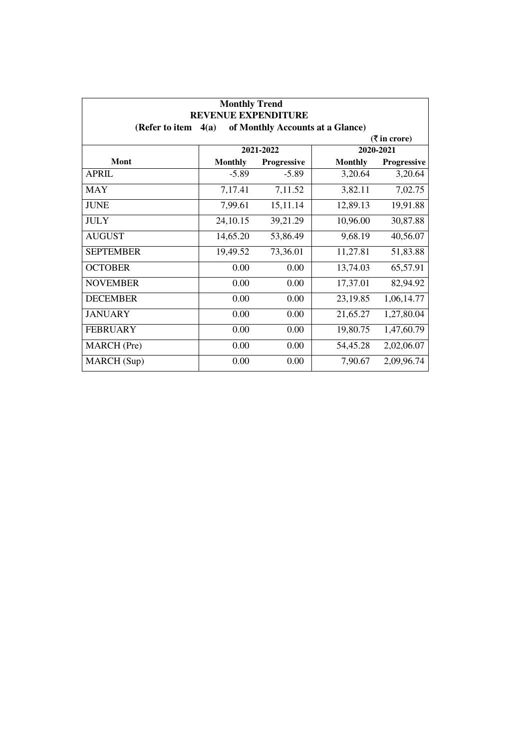| <b>Monthly Trend</b><br>REVENUE EXPENDITURE |                |                                  |                |                    |  |
|---------------------------------------------|----------------|----------------------------------|----------------|--------------------|--|
| (Refer to item                              | 4(a)           | of Monthly Accounts at a Glance) |                |                    |  |
| $(3\overline{5})$ in crore)                 |                |                                  |                |                    |  |
|                                             |                | 2021-2022                        |                | 2020-2021          |  |
| <b>Mont</b>                                 | <b>Monthly</b> | Progressive                      | <b>Monthly</b> | <b>Progressive</b> |  |
| <b>APRIL</b>                                | $-5.89$        | $-5.89$                          | 3,20.64        | 3,20.64            |  |
| MAY                                         | 7,17.41        | 7,11.52                          | 3,82.11        | 7,02.75            |  |
| <b>JUNE</b>                                 | 7,99.61        | 15,11.14                         | 12,89.13       | 19,91.88           |  |
| <b>JULY</b>                                 | 24, 10.15      | 39,21.29                         | 10,96.00       | 30,87.88           |  |
| <b>AUGUST</b>                               | 14,65.20       | 53,86.49                         | 9,68.19        | 40,56.07           |  |
| <b>SEPTEMBER</b>                            | 19,49.52       | 73,36.01                         | 11,27.81       | 51,83.88           |  |
| <b>OCTOBER</b>                              | 0.00           | 0.00                             | 13,74.03       | 65,57.91           |  |
| <b>NOVEMBER</b>                             | 0.00           | 0.00                             | 17,37.01       | 82,94.92           |  |
| <b>DECEMBER</b>                             | 0.00           | 0.00                             | 23,19.85       | 1,06,14.77         |  |
| <b>JANUARY</b>                              | 0.00           | 0.00                             | 21,65.27       | 1,27,80.04         |  |
| <b>FEBRUARY</b>                             | 0.00           | 0.00                             | 19,80.75       | 1,47,60.79         |  |
| <b>MARCH</b> (Pre)                          | 0.00           | 0.00                             | 54,45.28       | 2,02,06.07         |  |
| MARCH (Sup)                                 | 0.00           | 0.00                             | 7,90.67        | 2,09,96.74         |  |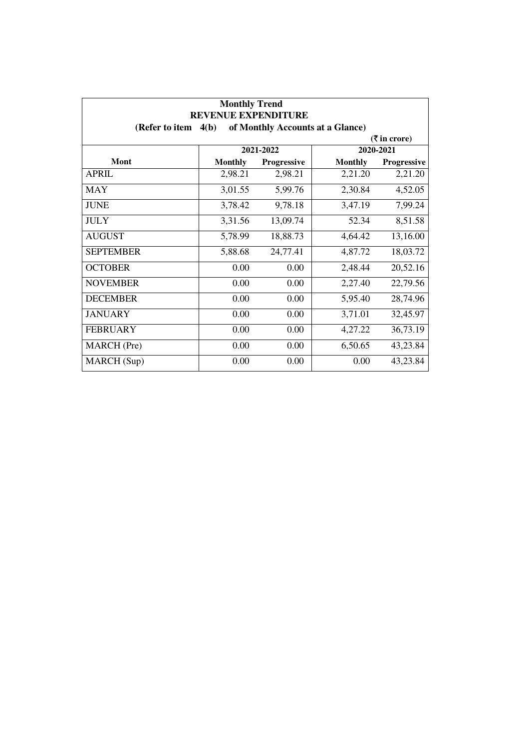| <b>Monthly Trend</b><br><b>REVENUE EXPENDITURE</b> |                |                                  |                |                             |
|----------------------------------------------------|----------------|----------------------------------|----------------|-----------------------------|
| (Refer to item                                     | 4(b)           | of Monthly Accounts at a Glance) |                |                             |
|                                                    |                |                                  |                | $(3\overline{5})$ in crore) |
|                                                    |                | 2021-2022                        |                | 2020-2021                   |
| <b>Mont</b>                                        | <b>Monthly</b> | <b>Progressive</b>               | <b>Monthly</b> | <b>Progressive</b>          |
| <b>APRIL</b>                                       | 2,98.21        | 2,98.21                          | 2,21.20        | 2,21.20                     |
| MAY                                                | 3,01.55        | 5,99.76                          | 2,30.84        | 4,52.05                     |
| <b>JUNE</b>                                        | 3,78.42        | 9,78.18                          | 3,47.19        | 7,99.24                     |
| <b>JULY</b>                                        | 3,31.56        | 13,09.74                         | 52.34          | 8,51.58                     |
| <b>AUGUST</b>                                      | 5,78.99        | 18,88.73                         | 4,64.42        | 13,16.00                    |
| <b>SEPTEMBER</b>                                   | 5,88.68        | 24,77.41                         | 4,87.72        | 18,03.72                    |
| <b>OCTOBER</b>                                     | 0.00           | 0.00                             | 2,48.44        | 20,52.16                    |
| <b>NOVEMBER</b>                                    | 0.00           | 0.00                             | 2,27.40        | 22,79.56                    |
| <b>DECEMBER</b>                                    | 0.00           | 0.00                             | 5,95.40        | 28,74.96                    |
| <b>JANUARY</b>                                     | 0.00           | 0.00                             | 3,71.01        | 32,45.97                    |
| <b>FEBRUARY</b>                                    | 0.00           | 0.00                             | 4,27.22        | 36,73.19                    |
| <b>MARCH</b> (Pre)                                 | 0.00           | 0.00                             | 6,50.65        | 43,23.84                    |
| MARCH (Sup)                                        | 0.00           | 0.00                             | 0.00           | 43,23.84                    |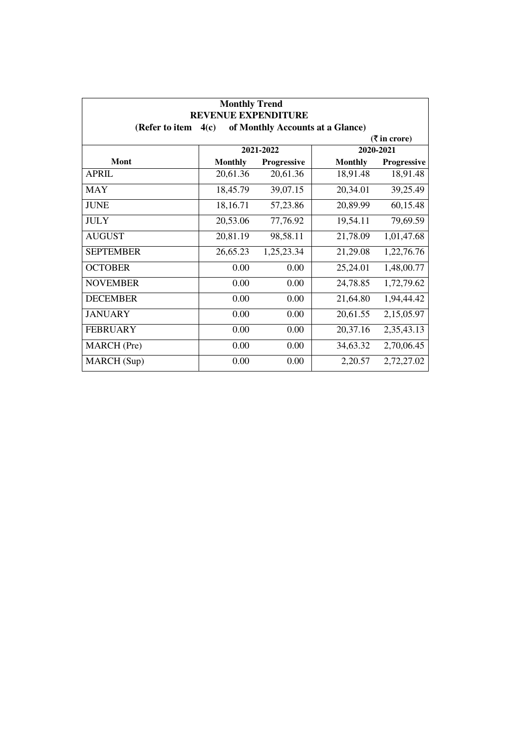| <b>Monthly Trend</b><br><b>REVENUE EXPENDITURE</b> |                                          |                    |                |                    |  |  |
|----------------------------------------------------|------------------------------------------|--------------------|----------------|--------------------|--|--|
| (Refer to item                                     | of Monthly Accounts at a Glance)<br>4(c) |                    |                |                    |  |  |
| $(3\overline{5})$ in crore)                        |                                          |                    |                |                    |  |  |
|                                                    |                                          | 2021-2022          |                | 2020-2021          |  |  |
| <b>Mont</b>                                        | <b>Monthly</b>                           | <b>Progressive</b> | <b>Monthly</b> | <b>Progressive</b> |  |  |
| <b>APRIL</b>                                       | 20,61.36                                 | 20,61.36           | 18,91.48       | 18,91.48           |  |  |
| <b>MAY</b>                                         | 18,45.79                                 | 39,07.15           | 20,34.01       | 39,25.49           |  |  |
| <b>JUNE</b>                                        | 18,16.71                                 | 57,23.86           | 20,89.99       | 60,15.48           |  |  |
| <b>JULY</b>                                        | 20,53.06                                 | 77,76.92           | 19,54.11       | 79,69.59           |  |  |
| <b>AUGUST</b>                                      | 20,81.19                                 | 98,58.11           | 21,78.09       | 1,01,47.68         |  |  |
| <b>SEPTEMBER</b>                                   | 26,65.23                                 | 1,25,23.34         | 21,29.08       | 1,22,76.76         |  |  |
| <b>OCTOBER</b>                                     | 0.00                                     | 0.00               | 25,24.01       | 1,48,00.77         |  |  |
| <b>NOVEMBER</b>                                    | 0.00                                     | 0.00               | 24,78.85       | 1,72,79.62         |  |  |
| <b>DECEMBER</b>                                    | 0.00                                     | 0.00               | 21,64.80       | 1,94,44.42         |  |  |
| <b>JANUARY</b>                                     | 0.00                                     | 0.00               | 20,61.55       | 2,15,05.97         |  |  |
| <b>FEBRUARY</b>                                    | 0.00                                     | 0.00               | 20,37.16       | 2,35,43.13         |  |  |
| <b>MARCH</b> (Pre)                                 | 0.00                                     | 0.00               | 34,63.32       | 2,70,06.45         |  |  |
| MARCH (Sup)                                        | 0.00                                     | 0.00               | 2,20.57        | 2,72,27.02         |  |  |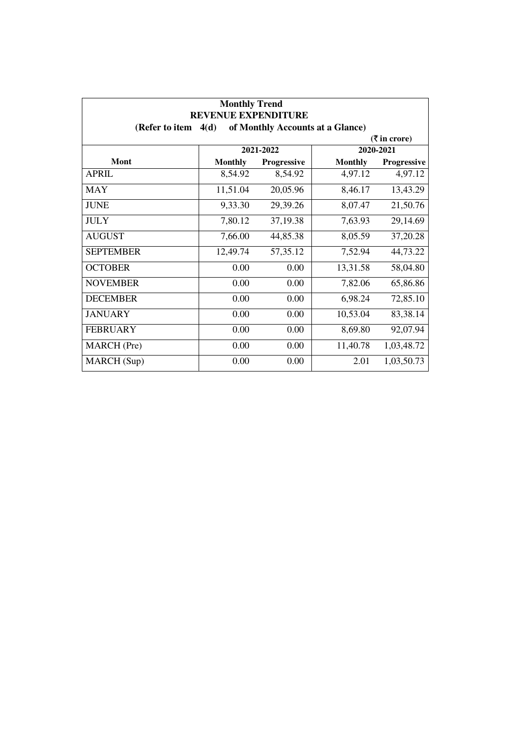| <b>Monthly Trend</b><br><b>REVENUE EXPENDITURE</b>         |                |             |                |                             |  |
|------------------------------------------------------------|----------------|-------------|----------------|-----------------------------|--|
| of Monthly Accounts at a Glance)<br>(Refer to item<br>4(d) |                |             |                |                             |  |
|                                                            |                |             |                | $(3\overline{5})$ in crore) |  |
|                                                            |                | 2021-2022   |                | 2020-2021                   |  |
| Mont                                                       | <b>Monthly</b> | Progressive | <b>Monthly</b> | Progressive                 |  |
| <b>APRIL</b>                                               | 8,54.92        | 8,54.92     | 4,97.12        | 4,97.12                     |  |
| <b>MAY</b>                                                 | 11,51.04       | 20,05.96    | 8,46.17        | 13,43.29                    |  |
| <b>JUNE</b>                                                | 9,33.30        | 29,39.26    | 8,07.47        | 21,50.76                    |  |
| <b>JULY</b>                                                | 7,80.12        | 37,19.38    | 7,63.93        | 29,14.69                    |  |
| <b>AUGUST</b>                                              | 7,66.00        | 44,85.38    | 8,05.59        | 37,20.28                    |  |
| <b>SEPTEMBER</b>                                           | 12,49.74       | 57, 35. 12  | 7,52.94        | 44,73.22                    |  |
| <b>OCTOBER</b>                                             | 0.00           | 0.00        | 13,31.58       | 58,04.80                    |  |
| <b>NOVEMBER</b>                                            | 0.00           | 0.00        | 7,82.06        | 65,86.86                    |  |
| <b>DECEMBER</b>                                            | 0.00           | 0.00        | 6,98.24        | 72,85.10                    |  |
| <b>JANUARY</b>                                             | 0.00           | 0.00        | 10,53.04       | 83,38.14                    |  |
| <b>FEBRUARY</b>                                            | 0.00           | 0.00        | 8,69.80        | 92,07.94                    |  |
| MARCH (Pre)                                                | 0.00           | 0.00        | 11,40.78       | 1,03,48.72                  |  |
| MARCH (Sup)                                                | 0.00           | 0.00        | 2.01           | 1,03,50.73                  |  |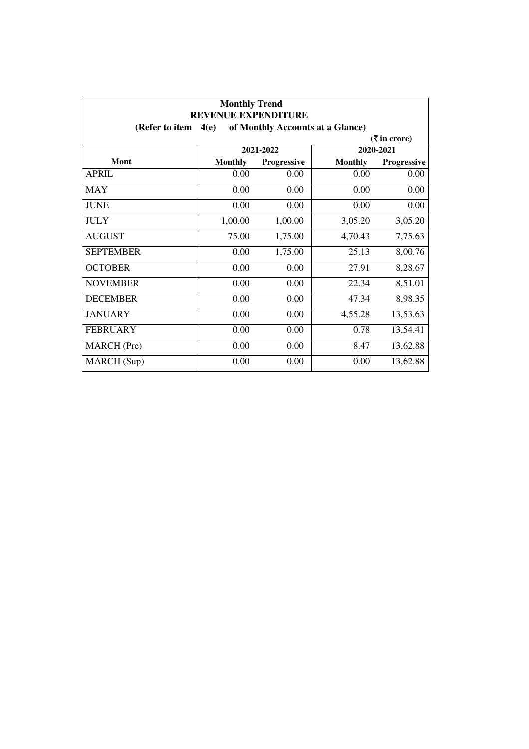| <b>Monthly Trend</b><br><b>REVENUE EXPENDITURE</b>         |                |             |                |             |
|------------------------------------------------------------|----------------|-------------|----------------|-------------|
| of Monthly Accounts at a Glance)<br>4(e)<br>(Refer to item |                |             |                |             |
| $(3\overline{5})$ in crore)                                |                |             |                |             |
|                                                            |                | 2021-2022   |                | 2020-2021   |
| Mont                                                       | <b>Monthly</b> | Progressive | <b>Monthly</b> | Progressive |
| <b>APRIL</b>                                               | 0.00           | 0.00        | 0.00           | 0.00        |
| <b>MAY</b>                                                 | 0.00           | 0.00        | 0.00           | 0.00        |
| <b>JUNE</b>                                                | 0.00           | 0.00        | 0.00           | 0.00        |
| <b>JULY</b>                                                | 1,00.00        | 1,00.00     | 3,05.20        | 3,05.20     |
| <b>AUGUST</b>                                              | 75.00          | 1,75.00     | 4,70.43        | 7,75.63     |
| <b>SEPTEMBER</b>                                           | 0.00           | 1,75.00     | 25.13          | 8,00.76     |
| <b>OCTOBER</b>                                             | 0.00           | 0.00        | 27.91          | 8,28.67     |
| <b>NOVEMBER</b>                                            | 0.00           | 0.00        | 22.34          | 8,51.01     |
| <b>DECEMBER</b>                                            | 0.00           | 0.00        | 47.34          | 8,98.35     |
| <b>JANUARY</b>                                             | 0.00           | 0.00        | 4,55.28        | 13,53.63    |
| <b>FEBRUARY</b>                                            | 0.00           | 0.00        | 0.78           | 13,54.41    |
| <b>MARCH</b> (Pre)                                         | 0.00           | 0.00        | 8.47           | 13,62.88    |
| MARCH (Sup)                                                | 0.00           | 0.00        | 0.00           | 13,62.88    |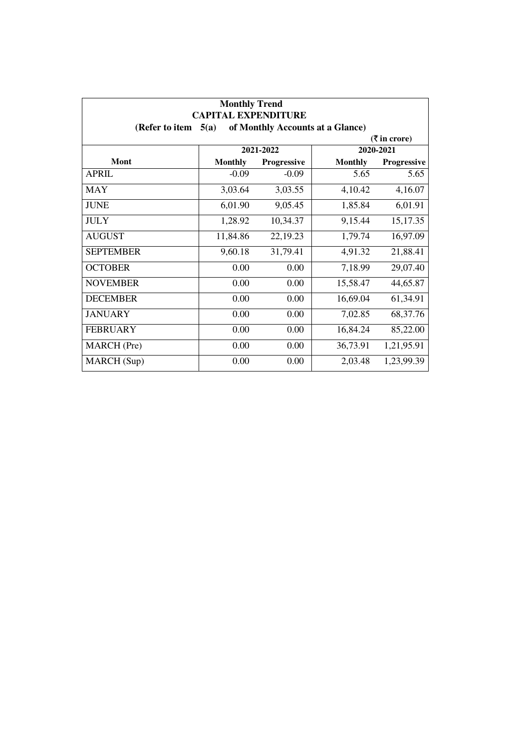| <b>Monthly Trend</b><br><b>CAPITAL EXPENDITURE</b><br>of Monthly Accounts at a Glance)<br>5(a)<br>(Refer to item |                |                    |                |             |  |  |  |
|------------------------------------------------------------------------------------------------------------------|----------------|--------------------|----------------|-------------|--|--|--|
|                                                                                                                  |                |                    |                |             |  |  |  |
|                                                                                                                  | 2021-2022      |                    |                | 2020-2021   |  |  |  |
| <b>Mont</b>                                                                                                      | <b>Monthly</b> | <b>Progressive</b> | <b>Monthly</b> | Progressive |  |  |  |
| <b>APRIL</b>                                                                                                     | $-0.09$        | $-0.09$            | 5.65           | 5.65        |  |  |  |
| <b>MAY</b>                                                                                                       | 3,03.64        | 3,03.55            | 4,10.42        | 4,16.07     |  |  |  |
| <b>JUNE</b>                                                                                                      | 6,01.90        | 9,05.45            | 1,85.84        | 6,01.91     |  |  |  |
| <b>JULY</b>                                                                                                      | 1,28.92        | 10,34.37           | 9,15.44        | 15,17.35    |  |  |  |
| <b>AUGUST</b>                                                                                                    | 11,84.86       | 22, 19.23          | 1,79.74        | 16,97.09    |  |  |  |
| <b>SEPTEMBER</b>                                                                                                 | 9,60.18        | 31,79.41           | 4,91.32        | 21,88.41    |  |  |  |
| <b>OCTOBER</b>                                                                                                   | 0.00           | 0.00               | 7,18.99        | 29,07.40    |  |  |  |
| <b>NOVEMBER</b>                                                                                                  | 0.00           | 0.00               | 15,58.47       | 44,65.87    |  |  |  |
| <b>DECEMBER</b>                                                                                                  | 0.00           | 0.00               | 16,69.04       | 61,34.91    |  |  |  |
| <b>JANUARY</b>                                                                                                   | 0.00           | 0.00               | 7,02.85        | 68, 37. 76  |  |  |  |
| <b>FEBRUARY</b>                                                                                                  | 0.00           | 0.00               | 16,84.24       | 85,22.00    |  |  |  |
| <b>MARCH</b> (Pre)                                                                                               | 0.00           | 0.00               | 36,73.91       | 1,21,95.91  |  |  |  |
| MARCH (Sup)                                                                                                      | 0.00           | 0.00               | 2,03.48        | 1,23,99.39  |  |  |  |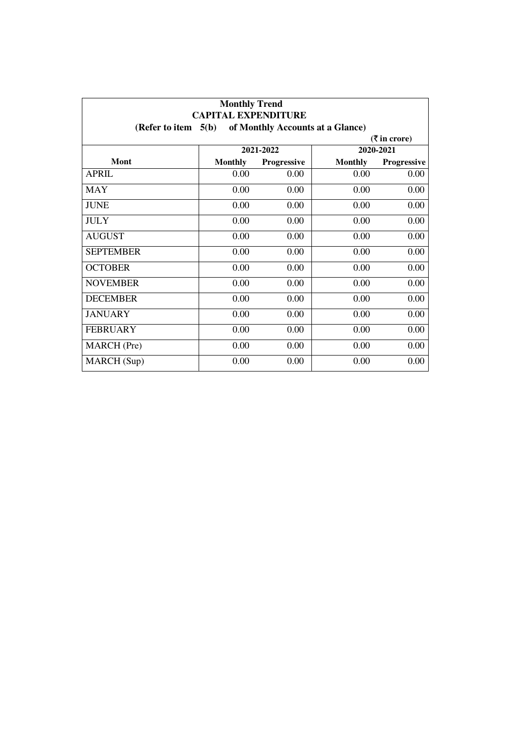| <b>Monthly Trend</b><br><b>CAPITAL EXPENDITURE</b><br>5(b)<br>of Monthly Accounts at a Glance)<br>(Refer to item |                |             |                |             |  |  |  |
|------------------------------------------------------------------------------------------------------------------|----------------|-------------|----------------|-------------|--|--|--|
|                                                                                                                  |                |             |                |             |  |  |  |
|                                                                                                                  | 2021-2022      |             |                | 2020-2021   |  |  |  |
| Mont                                                                                                             | <b>Monthly</b> | Progressive | <b>Monthly</b> | Progressive |  |  |  |
| <b>APRIL</b>                                                                                                     | 0.00           | 0.00        | 0.00           | 0.00        |  |  |  |
| <b>MAY</b>                                                                                                       | 0.00           | 0.00        | 0.00           | 0.00        |  |  |  |
| <b>JUNE</b>                                                                                                      | 0.00           | 0.00        | 0.00           | 0.00        |  |  |  |
| <b>JULY</b>                                                                                                      | 0.00           | 0.00        | 0.00           | 0.00        |  |  |  |
| <b>AUGUST</b>                                                                                                    | 0.00           | 0.00        | 0.00           | 0.00        |  |  |  |
| <b>SEPTEMBER</b>                                                                                                 | 0.00           | 0.00        | 0.00           | 0.00        |  |  |  |
| <b>OCTOBER</b>                                                                                                   | 0.00           | 0.00        | 0.00           | 0.00        |  |  |  |
| <b>NOVEMBER</b>                                                                                                  | 0.00           | 0.00        | 0.00           | 0.00        |  |  |  |
| <b>DECEMBER</b>                                                                                                  | 0.00           | 0.00        | 0.00           | 0.00        |  |  |  |
| <b>JANUARY</b>                                                                                                   | 0.00           | 0.00        | 0.00           | 0.00        |  |  |  |
| <b>FEBRUARY</b>                                                                                                  | 0.00           | 0.00        | 0.00           | 0.00        |  |  |  |
| <b>MARCH</b> (Pre)                                                                                               | 0.00           | 0.00        | 0.00           | 0.00        |  |  |  |
| MARCH (Sup)                                                                                                      | 0.00           | 0.00        | 0.00           | 0.00        |  |  |  |